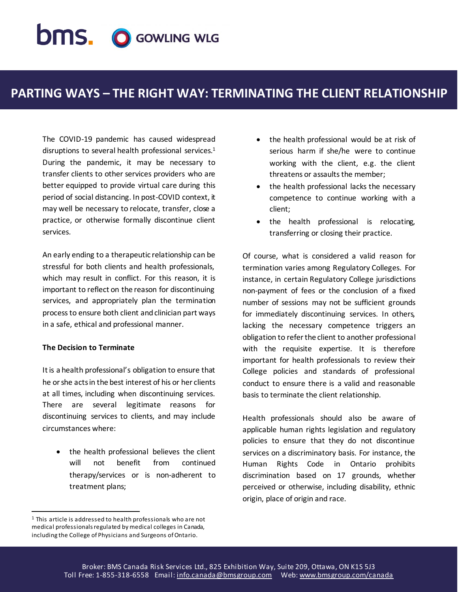# **DMS. O GOWLING WLG**

### **PARTING WAYS – THE RIGHT WAY: TERMINATING THE CLIENT RELATIONSHIP**

The COVID-19 pandemic has caused widespread disruptions to several health professional services.<sup>1</sup> During the pandemic, it may be necessary to transfer clients to other services providers who are better equipped to provide virtual care during this period of social distancing. In post-COVID context, it may well be necessary to relocate, transfer, close a practice, or otherwise formally discontinue client services.

An early ending to a therapeutic relationship can be stressful for both clients and health professionals, which may result in conflict. For this reason, it is important to reflect on the reason for discontinuing services, and appropriately plan the termination process to ensure both client and clinician part ways in a safe, ethical and professional manner.

#### **The Decision to Terminate**

It is a health professional's obligation to ensure that he or she acts in the best interest of his or her clients at all times, including when discontinuing services. There are several legitimate reasons for discontinuing services to clients, and may include circumstances where:

• the health professional believes the client will not benefit from continued therapy/services or is non-adherent to treatment plans;

- the health professional would be at risk of serious harm if she/he were to continue working with the client, e.g. the client threatens or assaults the member;
- the health professional lacks the necessary competence to continue working with a client;
- the health professional is relocating, transferring or closing their practice.

Of course, what is considered a valid reason for termination varies among Regulatory Colleges. For instance, in certain Regulatory College jurisdictions non-payment of fees or the conclusion of a fixed number of sessions may not be sufficient grounds for immediately discontinuing services. In others, lacking the necessary competence triggers an obligation to refer the client to another professional with the requisite expertise. It is therefore important for health professionals to review their College policies and standards of professional conduct to ensure there is a valid and reasonable basis to terminate the client relationship.

Health professionals should also be aware of applicable human rights legislation and regulatory policies to ensure that they do not discontinue services on a discriminatory basis. For instance, the Human Rights Code in Ontario prohibits discrimination based on 17 grounds, whether perceived or otherwise, including disability, ethnic origin, place of origin and race.

 $\overline{a}$ <sup>1</sup> This article is addressed to health professionals who are not medical professionals regulated by medical colleges in Canada, including the College of Physicians and Surgeons of Ontario.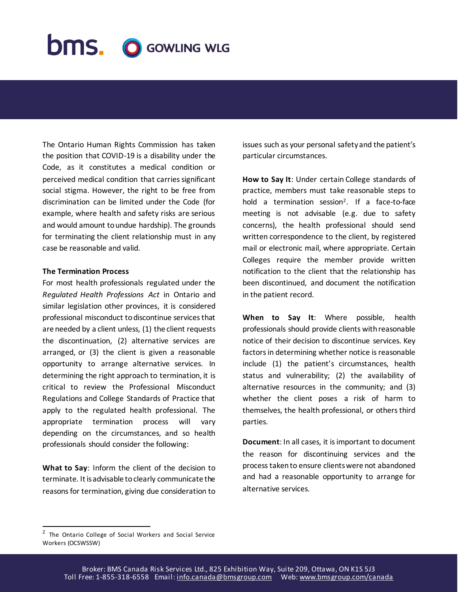## **bms. O GOWLING WLG**

The Ontario Human Rights Commission has taken the position that COVID-19 is a disability under the Code, as it constitutes a medical condition or perceived medical condition that carries significant social stigma. However, the right to be free from discrimination can be limited under the Code (for example, where health and safety risks are serious and would amount to undue hardship). The grounds for terminating the client relationship must in any case be reasonable and valid.

#### **The Termination Process**

For most health professionals regulated under the *Regulated Health Professions Act* in Ontario and similar legislation other provinces, it is considered professional misconduct to discontinue services that are needed by a client unless, (1) the client requests the discontinuation, (2) alternative services are arranged, or (3) the client is given a reasonable opportunity to arrange alternative services. In determining the right approach to termination, it is critical to review the Professional Misconduct Regulations and College Standards of Practice that apply to the regulated health professional. The appropriate termination process will vary depending on the circumstances, and so health professionals should consider the following:

**What to Say**: Inform the client of the decision to terminate. It is advisable to clearly communicate the reasons for termination, giving due consideration to issues such as your personal safety and the patient's particular circumstances.

**How to Say It**: Under certain College standards of practice, members must take reasonable steps to hold a termination session<sup>2</sup> . If a face-to-face meeting is not advisable (e.g. due to safety concerns), the health professional should send written correspondence to the client, by registered mail or electronic mail, where appropriate. Certain Colleges require the member provide written notification to the client that the relationship has been discontinued, and document the notification in the patient record.

**When to Say It**: Where possible, health professionals should provide clients with reasonable notice of their decision to discontinue services. Key factors in determining whether notice is reasonable include (1) the patient's circumstances, health status and vulnerability; (2) the availability of alternative resources in the community; and (3) whether the client poses a risk of harm to themselves, the health professional, or others third parties.

**Document**: In all cases, it is important to document the reason for discontinuing services and the process taken to ensure clients were not abandoned and had a reasonable opportunity to arrange for alternative services.

l

<sup>&</sup>lt;sup>2</sup> The Ontario College of Social Workers and Social Service Workers (OCSWSSW)